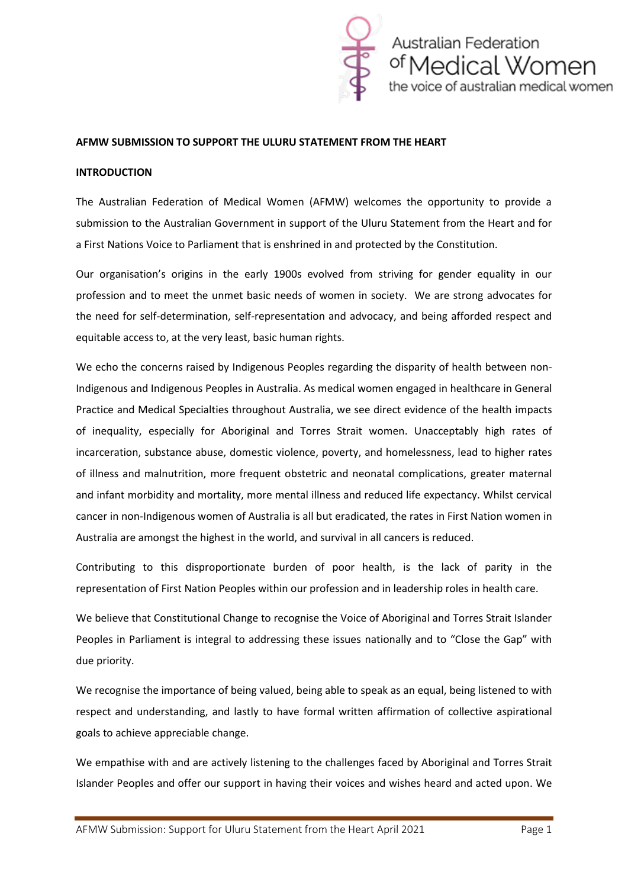

#### **AFMW SUBMISSION TO SUPPORT THE ULURU STATEMENT FROM THE HEART**

#### **INTRODUCTION**

The Australian Federation of Medical Women (AFMW) welcomes the opportunity to provide a submission to the Australian Government in support of the Uluru Statement from the Heart and for a First Nations Voice to Parliament that is enshrined in and protected by the Constitution.

Our organisation's origins in the early 1900s evolved from striving for gender equality in our profession and to meet the unmet basic needs of women in society. We are strong advocates for the need for self-determination, self-representation and advocacy, and being afforded respect and equitable access to, at the very least, basic human rights.

We echo the concerns raised by Indigenous Peoples regarding the disparity of health between non-Indigenous and Indigenous Peoples in Australia. As medical women engaged in healthcare in General Practice and Medical Specialties throughout Australia, we see direct evidence of the health impacts of inequality, especially for Aboriginal and Torres Strait women. Unacceptably high rates of incarceration, substance abuse, domestic violence, poverty, and homelessness, lead to higher rates of illness and malnutrition, more frequent obstetric and neonatal complications, greater maternal and infant morbidity and mortality, more mental illness and reduced life expectancy. Whilst cervical cancer in non-Indigenous women of Australia is all but eradicated, the rates in First Nation women in Australia are amongst the highest in the world, and survival in all cancers is reduced.

Contributing to this disproportionate burden of poor health, is the lack of parity in the representation of First Nation Peoples within our profession and in leadership roles in health care.

We believe that Constitutional Change to recognise the Voice of Aboriginal and Torres Strait Islander Peoples in Parliament is integral to addressing these issues nationally and to "Close the Gap" with due priority.

We recognise the importance of being valued, being able to speak as an equal, being listened to with respect and understanding, and lastly to have formal written affirmation of collective aspirational goals to achieve appreciable change.

We empathise with and are actively listening to the challenges faced by Aboriginal and Torres Strait Islander Peoples and offer our support in having their voices and wishes heard and acted upon. We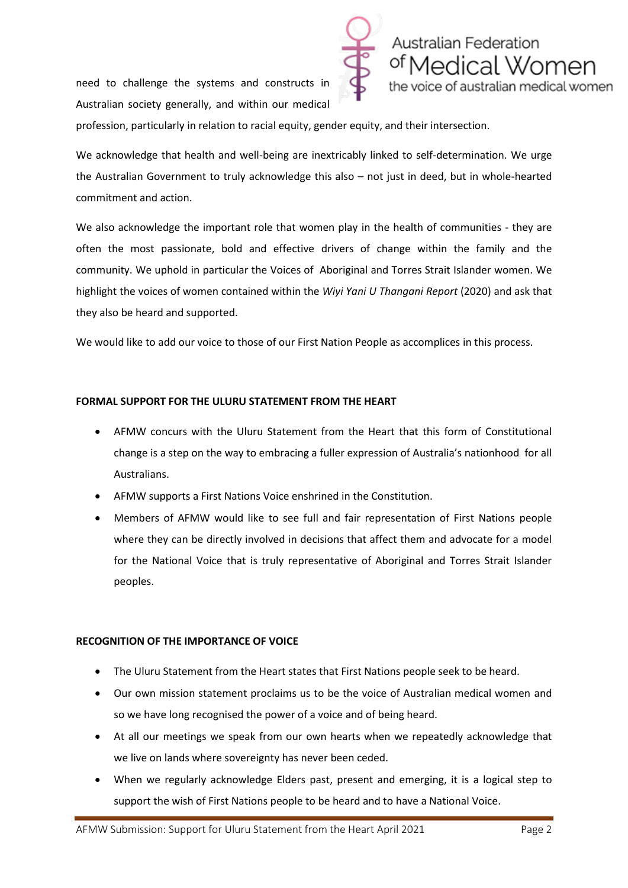need to challenge the systems and constructs in Australian society generally, and within our medical



profession, particularly in relation to racial equity, gender equity, and their intersection.

We acknowledge that health and well-being are inextricably linked to self-determination. We urge the Australian Government to truly acknowledge this also – not just in deed, but in whole-hearted commitment and action.

We also acknowledge the important role that women play in the health of communities - they are often the most passionate, bold and effective drivers of change within the family and the community. We uphold in particular the Voices of Aboriginal and Torres Strait Islander women. We highlight the voices of women contained within the *Wiyi Yani U Thangani Report* (2020) and ask that they also be heard and supported.

We would like to add our voice to those of our First Nation People as accomplices in this process.

### **FORMAL SUPPORT FOR THE ULURU STATEMENT FROM THE HEART**

- AFMW concurs with the Uluru Statement from the Heart that this form of Constitutional change is a step on the way to embracing a fuller expression of Australia's nationhood for all Australians.
- AFMW supports a First Nations Voice enshrined in the Constitution.
- Members of AFMW would like to see full and fair representation of First Nations people where they can be directly involved in decisions that affect them and advocate for a model for the National Voice that is truly representative of Aboriginal and Torres Strait Islander peoples.

### **RECOGNITION OF THE IMPORTANCE OF VOICE**

- The Uluru Statement from the Heart states that First Nations people seek to be heard.
- Our own mission statement proclaims us to be the voice of Australian medical women and so we have long recognised the power of a voice and of being heard.
- At all our meetings we speak from our own hearts when we repeatedly acknowledge that we live on lands where sovereignty has never been ceded.
- When we regularly acknowledge Elders past, present and emerging, it is a logical step to support the wish of First Nations people to be heard and to have a National Voice.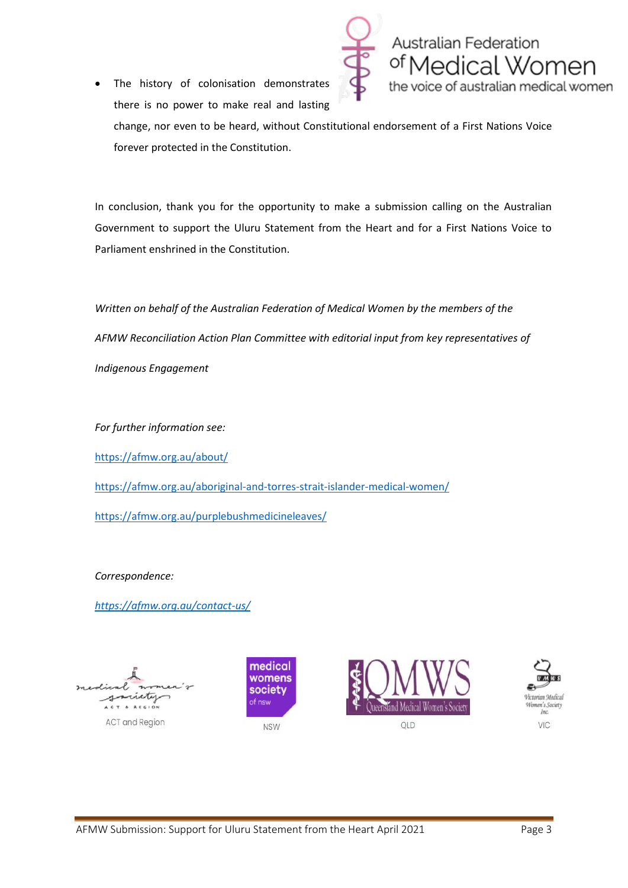The history of colonisation demonstrates there is no power to make real and lasting



change, nor even to be heard, without Constitutional endorsement of a First Nations Voice forever protected in the Constitution.

In conclusion, thank you for the opportunity to make a submission calling on the Australian Government to support the Uluru Statement from the Heart and for a First Nations Voice to Parliament enshrined in the Constitution.

*Written on behalf of the Australian Federation of Medical Women by the members of the AFMW Reconciliation Action Plan Committee with editorial input from key representatives of Indigenous Engagement*

*For further information see:*

<https://afmw.org.au/about/>

<https://afmw.org.au/aboriginal-and-torres-strait-islander-medical-women/>

<https://afmw.org.au/purplebushmedicineleaves/>

*Correspondence:*

*<https://afmw.org.au/contact-us/>*

**ACT** and Region





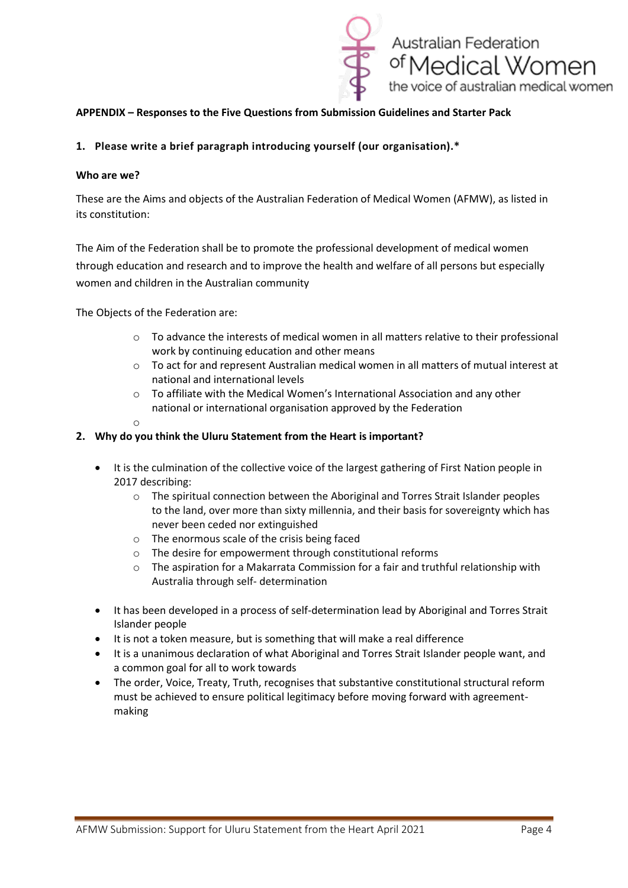

## **APPENDIX – Responses to the Five Questions from Submission Guidelines and Starter Pack**

## **1. Please write a brief paragraph introducing yourself (our organisation).\***

#### **Who are we?**

These are the Aims and objects of the Australian Federation of Medical Women (AFMW), as listed in its constitution:

The Aim of the Federation shall be to promote the professional development of medical women through education and research and to improve the health and welfare of all persons but especially women and children in the Australian community

The Objects of the Federation are:

- $\circ$  To advance the interests of medical women in all matters relative to their professional work by continuing education and other means
- $\circ$  To act for and represent Australian medical women in all matters of mutual interest at national and international levels
- o To affiliate with the Medical Women's International Association and any other national or international organisation approved by the Federation
- o

### **2. Why do you think the Uluru Statement from the Heart is important?**

- It is the culmination of the collective voice of the largest gathering of First Nation people in 2017 describing:
	- $\circ$  The spiritual connection between the Aboriginal and Torres Strait Islander peoples to the land, over more than sixty millennia, and their basis for sovereignty which has never been ceded nor extinguished
	- o The enormous scale of the crisis being faced
	- o The desire for empowerment through constitutional reforms
	- $\circ$  The aspiration for a Makarrata Commission for a fair and truthful relationship with Australia through self- determination
- It has been developed in a process of self-determination lead by Aboriginal and Torres Strait Islander people
- It is not a token measure, but is something that will make a real difference
- It is a unanimous declaration of what Aboriginal and Torres Strait Islander people want, and a common goal for all to work towards
- The order, Voice, Treaty, Truth, recognises that substantive constitutional structural reform must be achieved to ensure political legitimacy before moving forward with agreementmaking